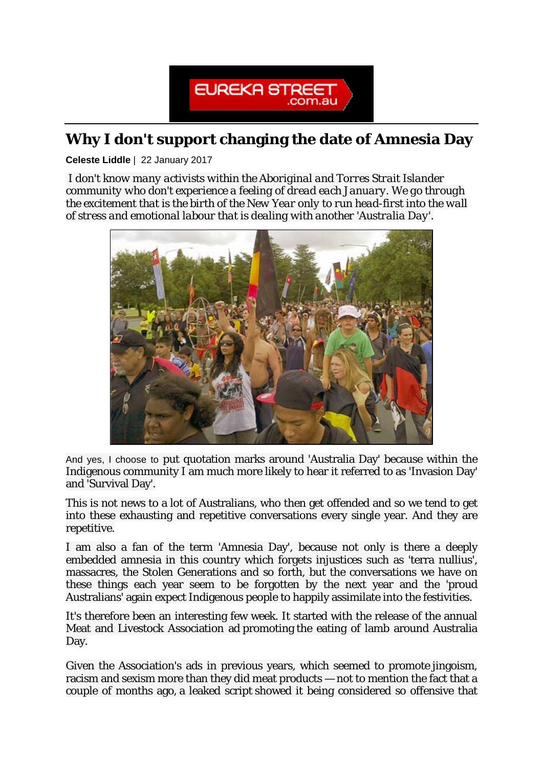

## **Why I don't support changing the date of Amnesia Day**

**Celeste Liddle** | 22 January 2017

*I don't know many activists within the Aboriginal and Torres Strait Islander community who don't experience a feeling of dread each January. We go through the excitement that is the birth of the New Year only to run head-first into the wall of stress and emotional labour that is dealing with another 'Australia Day'.*



And yes, I choose to put quotation marks around 'Australia Day' because within the Indigenous community I am much more likely to hear it referred to as 'Invasion Day' and 'Survival Day'.

This is not news to a lot of Australians, who then get offended and so we tend to get into these exhausting and repetitive conversations every single year. And they are repetitive.

I am also a fan of the term 'Amnesia Day', because not only is there a deeply embedded amnesia in this country which forgets injustices such as 'terra nullius', massacres, the Stolen Generations and so forth, but the conversations we have on these things each year seem to be forgotten by the next year and the 'proud Australians' again expect Indigenous people to happily assimilate into the festivities.

It's therefore been an interesting few week. It started with the release of the annual Meat and Livestock Association ad promoting the eating of lamb around Australia Day.

Given the Association's ads in previous years, which seemed to promote jingoism, racism and sexism more than they did meat products — not to mention the fact that a couple of months ago, a leaked script showed it being considered so offensive that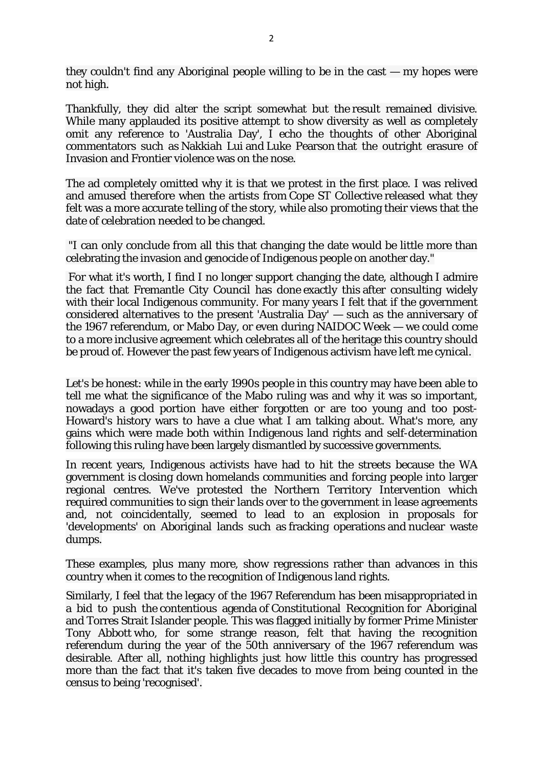they couldn't find any Aboriginal people willing to be in the cast — my hopes were not high.

Thankfully, they did alter the script somewhat but the result remained divisive. While many applauded its positive attempt to show diversity as well as completely omit any reference to 'Australia Day', I echo the thoughts of other Aboriginal commentators such as [Nakkiah Lui](http://www.smh.com.au/lifestyle/news-and-views/new-australia-day-lamb-ad-isnt-landing-well-with-indigenous-australians-20170112-gtq9ey) and Luke Pearson that the outright erasure of Invasion and Frontier violence was on the nose.

The ad completely omitted why it is that we protest in the first place. I was relived and amused therefore when the artists from Cope ST Collective released what they felt was a more accurate telling of the story, while also promoting their views that the date of celebration needed to be changed.

"I can only conclude from all this that changing the date would be little more than celebrating the invasion and genocide of Indigenous people on another day."

For what it's worth, I find I no longer support changing the date, although I admire the fact that Fremantle City Council has done exactly this after consulting widely with their local Indigenous community. For many years I felt that if the government considered alternatives to the present 'Australia Day' — such as the anniversary of the 1967 referendum, or Mabo Day, or even during NAIDOC Week — we could come to a more inclusive agreement which celebrates all of the heritage this country should be proud of. However the past few years of Indigenous activism have left me cynical.

Let's be honest: while in the early 1990s people in this country may have been able to tell me what the significance of the Mabo ruling was and why it was so important, nowadays a good portion have either forgotten or are too young and too post-Howard's history wars to have a clue what I am talking about. What's more, any gains which were made both within Indigenous land rights and self-determination following this ruling have been largely dismantled by successive governments.

In recent years, Indigenous activists have had to hit the streets because the WA government is closing down homelands communities and forcing people into larger regional centres. We've protested the Northern Territory Intervention which required communities to sign their lands over to the government in lease agreements and, not coincidentally, seemed to lead to an explosion in proposals for 'developments' on Aboriginal lands such as fracking operations and nuclear waste dumps.

These examples, plus many more, show regressions rather than advances in this country when it comes to the recognition of Indigenous land rights.

Similarly, I feel that the legacy of the 1967 Referendum has been misappropriated in a bid to push the contentious agenda of Constitutional Recognition for Aboriginal and Torres Strait Islander people. This was flagged initially by former Prime Minister Tony Abbott who, for some strange reason, felt that having the recognition referendum during the year of the 50th anniversary of the 1967 referendum was desirable. After all, nothing highlights just how little this country has progressed more than the fact that it's taken five decades to move from being counted in the census to being 'recognised'.